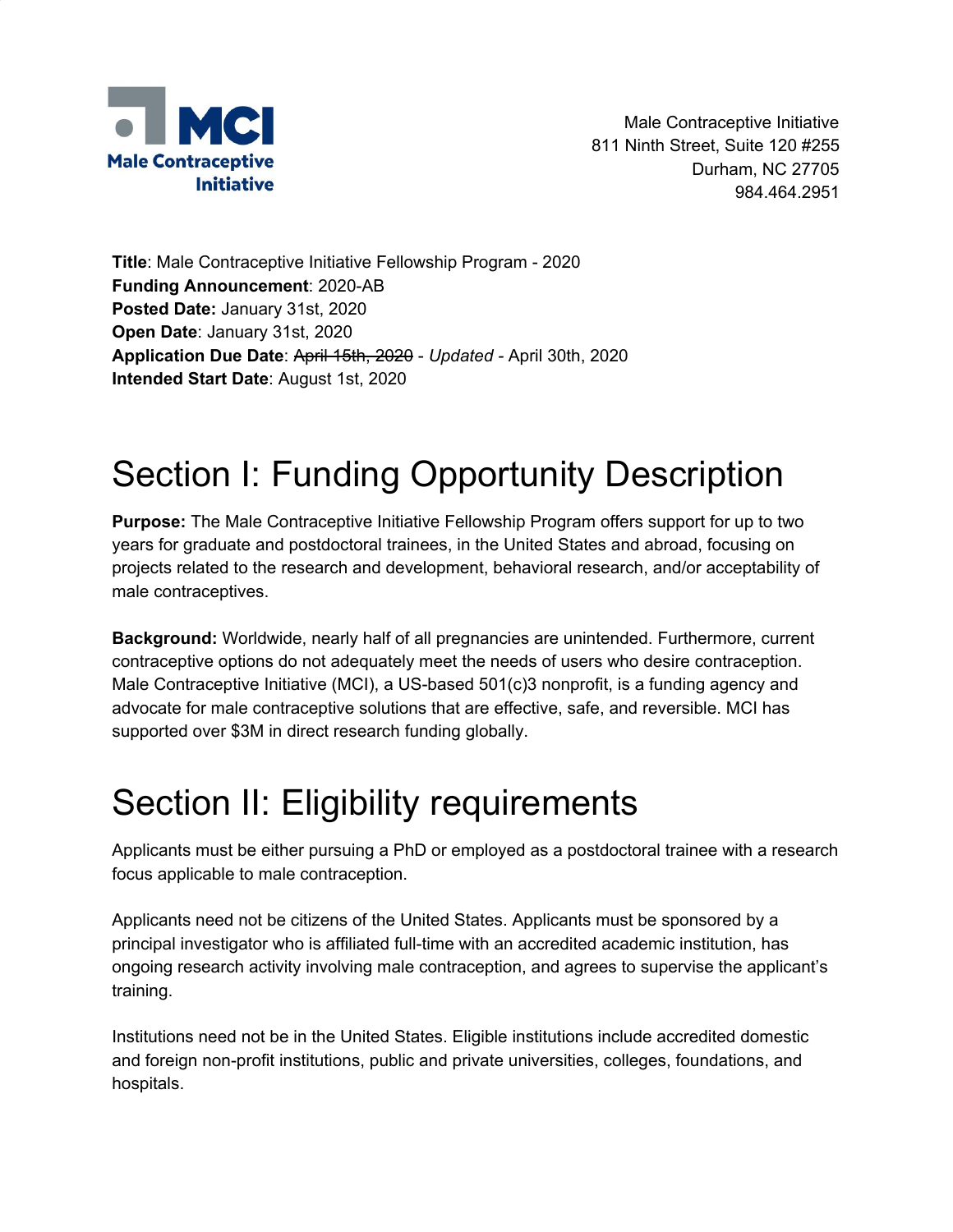

Male Contraceptive Initiative 811 Ninth Street, Suite 120 #255 Durham, NC 27705 984.464.2951

**Title**: Male Contraceptive Initiative Fellowship Program - 2020 **Funding Announcement**: 2020-AB **Posted Date:** January 31st, 2020 **Open Date**: January 31st, 2020 **Application Due Date**: April 15th, 2020 - *Updated -* April 30th, 2020 **Intended Start Date**: August 1st, 2020

# Section I: Funding Opportunity Description

**Purpose:** The Male Contraceptive Initiative Fellowship Program offers support for up to two years for graduate and postdoctoral trainees, in the United States and abroad, focusing on projects related to the research and development, behavioral research, and/or acceptability of male contraceptives.

**Background:** Worldwide, nearly half of all pregnancies are unintended. Furthermore, current contraceptive options do not adequately meet the needs of users who desire contraception. Male Contraceptive Initiative (MCI), a US-based 501(c)3 nonprofit, is a funding agency and advocate for male contraceptive solutions that are effective, safe, and reversible. MCI has supported over \$3M in direct research funding globally.

### Section II: Eligibility requirements

Applicants must be either pursuing a PhD or employed as a postdoctoral trainee with a research focus applicable to male contraception.

Applicants need not be citizens of the United States. Applicants must be sponsored by a principal investigator who is affiliated full-time with an accredited academic institution, has ongoing research activity involving male contraception, and agrees to supervise the applicant's training.

Institutions need not be in the United States. Eligible institutions include accredited domestic and foreign non-profit institutions, public and private universities, colleges, foundations, and hospitals.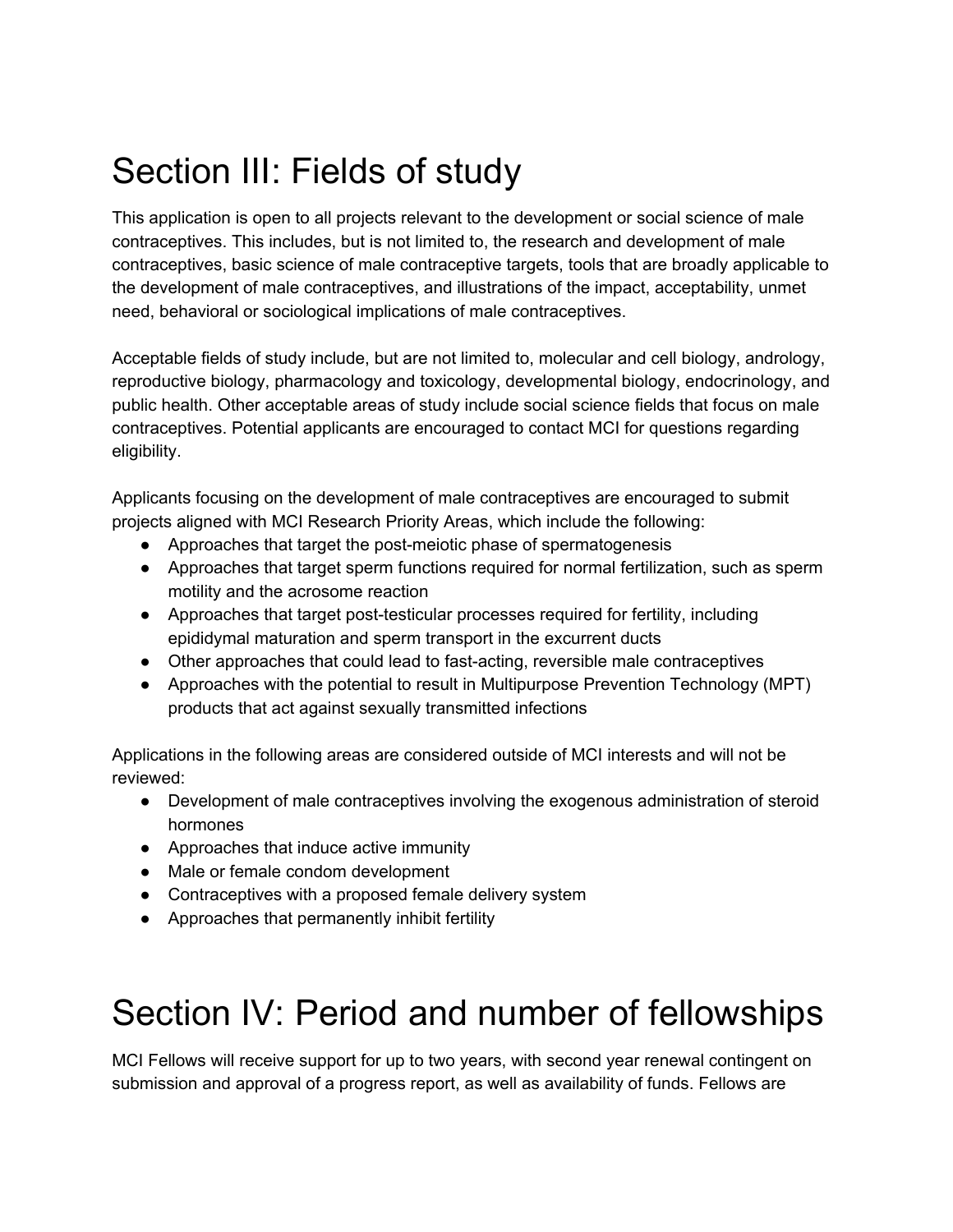## Section III: Fields of study

This application is open to all projects relevant to the development or social science of male contraceptives. This includes, but is not limited to, the research and development of male contraceptives, basic science of male contraceptive targets, tools that are broadly applicable to the development of male contraceptives, and illustrations of the impact, acceptability, unmet need, behavioral or sociological implications of male contraceptives.

Acceptable fields of study include, but are not limited to, molecular and cell biology, andrology, reproductive biology, pharmacology and toxicology, developmental biology, endocrinology, and public health. Other acceptable areas of study include social science fields that focus on male contraceptives. Potential applicants are encouraged to contact MCI for questions regarding eligibility.

Applicants focusing on the development of male contraceptives are encouraged to submit projects aligned with MCI Research Priority Areas, which include the following:

- Approaches that target the post-meiotic phase of spermatogenesis
- Approaches that target sperm functions required for normal fertilization, such as sperm motility and the acrosome reaction
- Approaches that target post-testicular processes required for fertility, including epididymal maturation and sperm transport in the excurrent ducts
- Other approaches that could lead to fast-acting, reversible male contraceptives
- Approaches with the potential to result in Multipurpose Prevention Technology (MPT) products that act against sexually transmitted infections

Applications in the following areas are considered outside of MCI interests and will not be reviewed:

- Development of male contraceptives involving the exogenous administration of steroid hormones
- Approaches that induce active immunity
- Male or female condom development
- Contraceptives with a proposed female delivery system
- Approaches that permanently inhibit fertility

#### Section IV: Period and number of fellowships

MCI Fellows will receive support for up to two years, with second year renewal contingent on submission and approval of a progress report, as well as availability of funds. Fellows are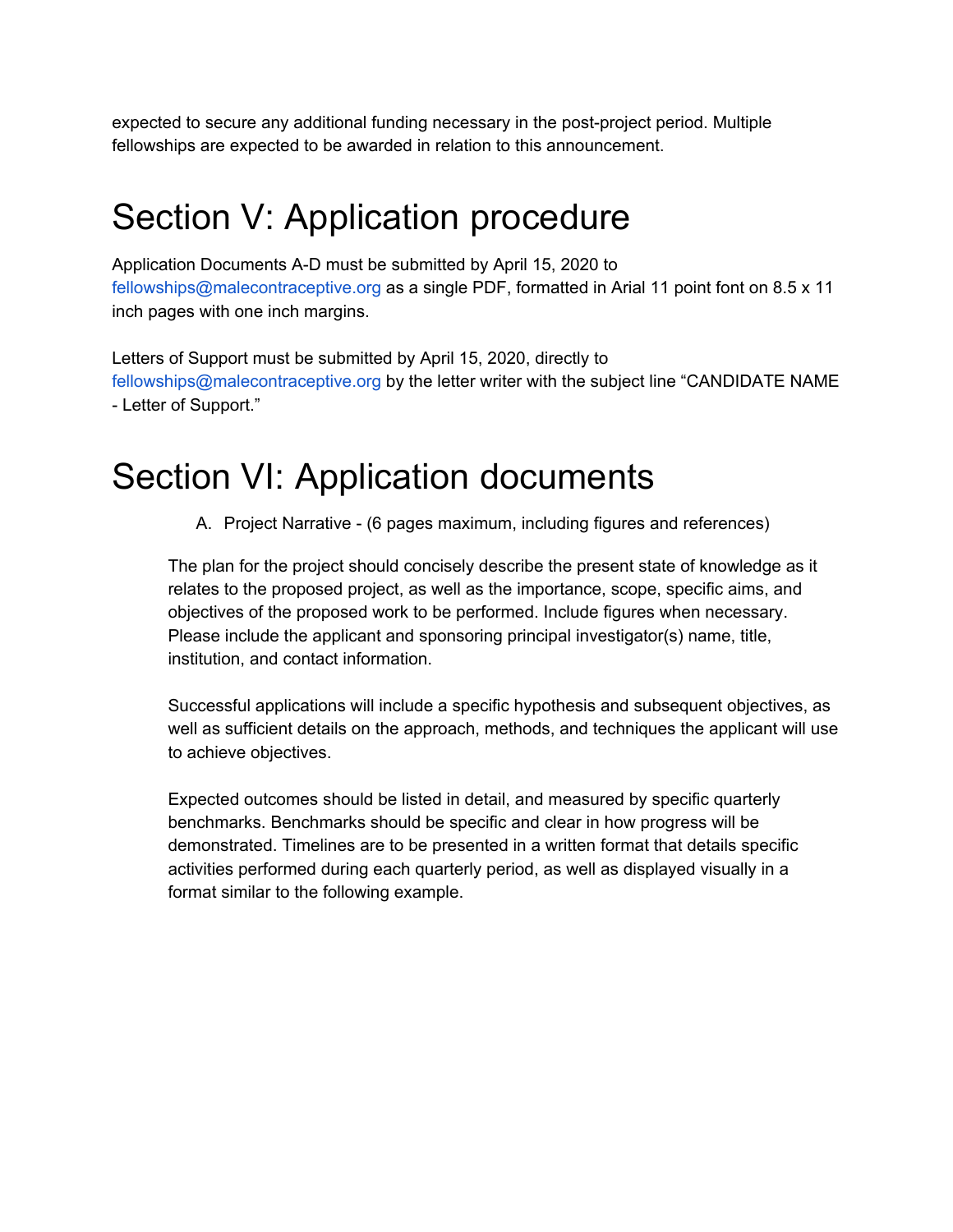expected to secure any additional funding necessary in the post-project period. Multiple fellowships are expected to be awarded in relation to this announcement.

## Section V: Application procedure

Application Documents A-D must be submitted by April 15, 2020 to fellowships@malecontraceptive.org as a single PDF, formatted in Arial 11 point font on 8.5 x 11 inch pages with one inch margins.

Letters of Support must be submitted by April 15, 2020, directly to fellowships@malecontraceptive.org by the letter writer with the subject line "CANDIDATE NAME - Letter of Support."

#### Section VI: Application documents

A. Project Narrative - (6 pages maximum, including figures and references)

The plan for the project should concisely describe the present state of knowledge as it relates to the proposed project, as well as the importance, scope, specific aims, and objectives of the proposed work to be performed. Include figures when necessary. Please include the applicant and sponsoring principal investigator(s) name, title, institution, and contact information.

Successful applications will include a specific hypothesis and subsequent objectives, as well as sufficient details on the approach, methods, and techniques the applicant will use to achieve objectives.

Expected outcomes should be listed in detail, and measured by specific quarterly benchmarks. Benchmarks should be specific and clear in how progress will be demonstrated. Timelines are to be presented in a written format that details specific activities performed during each quarterly period, as well as displayed visually in a format similar to the following example.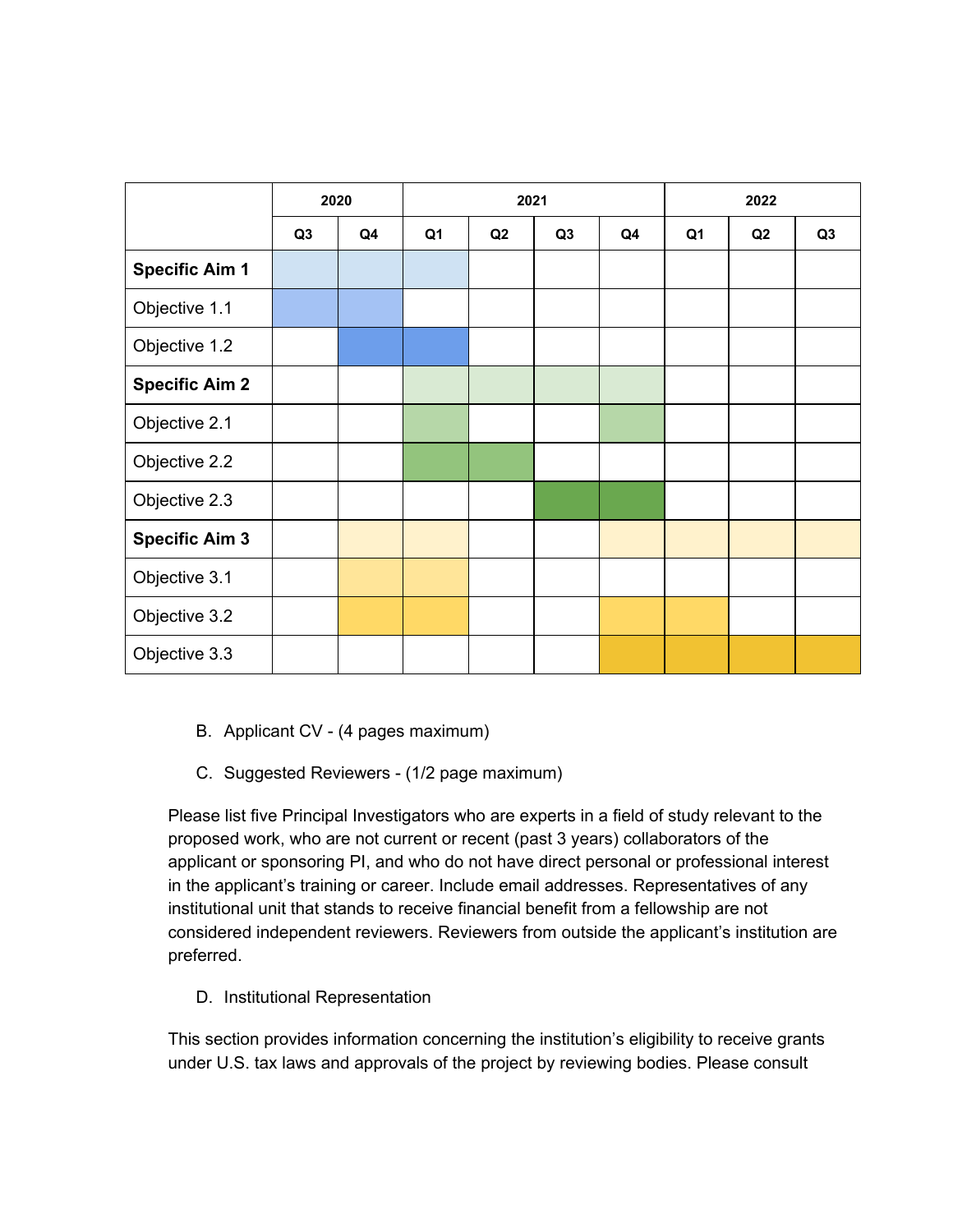|                       | 2020           |                | 2021           |    |                |    | 2022           |    |                |
|-----------------------|----------------|----------------|----------------|----|----------------|----|----------------|----|----------------|
|                       | Q <sub>3</sub> | Q <sub>4</sub> | Q <sub>1</sub> | Q2 | Q <sub>3</sub> | Q4 | Q <sub>1</sub> | Q2 | Q <sub>3</sub> |
| <b>Specific Aim 1</b> |                |                |                |    |                |    |                |    |                |
| Objective 1.1         |                |                |                |    |                |    |                |    |                |
| Objective 1.2         |                |                |                |    |                |    |                |    |                |
| <b>Specific Aim 2</b> |                |                |                |    |                |    |                |    |                |
| Objective 2.1         |                |                |                |    |                |    |                |    |                |
| Objective 2.2         |                |                |                |    |                |    |                |    |                |
| Objective 2.3         |                |                |                |    |                |    |                |    |                |
| <b>Specific Aim 3</b> |                |                |                |    |                |    |                |    |                |
| Objective 3.1         |                |                |                |    |                |    |                |    |                |
| Objective 3.2         |                |                |                |    |                |    |                |    |                |
| Objective 3.3         |                |                |                |    |                |    |                |    |                |

- B. Applicant CV (4 pages maximum)
- C. Suggested Reviewers (1/2 page maximum)

Please list five Principal Investigators who are experts in a field of study relevant to the proposed work, who are not current or recent (past 3 years) collaborators of the applicant or sponsoring PI, and who do not have direct personal or professional interest in the applicant's training or career. Include email addresses. Representatives of any institutional unit that stands to receive financial benefit from a fellowship are not considered independent reviewers. Reviewers from outside the applicant's institution are preferred.

D. Institutional Representation

This section provides information concerning the institution's eligibility to receive grants under U.S. tax laws and approvals of the project by reviewing bodies. Please consult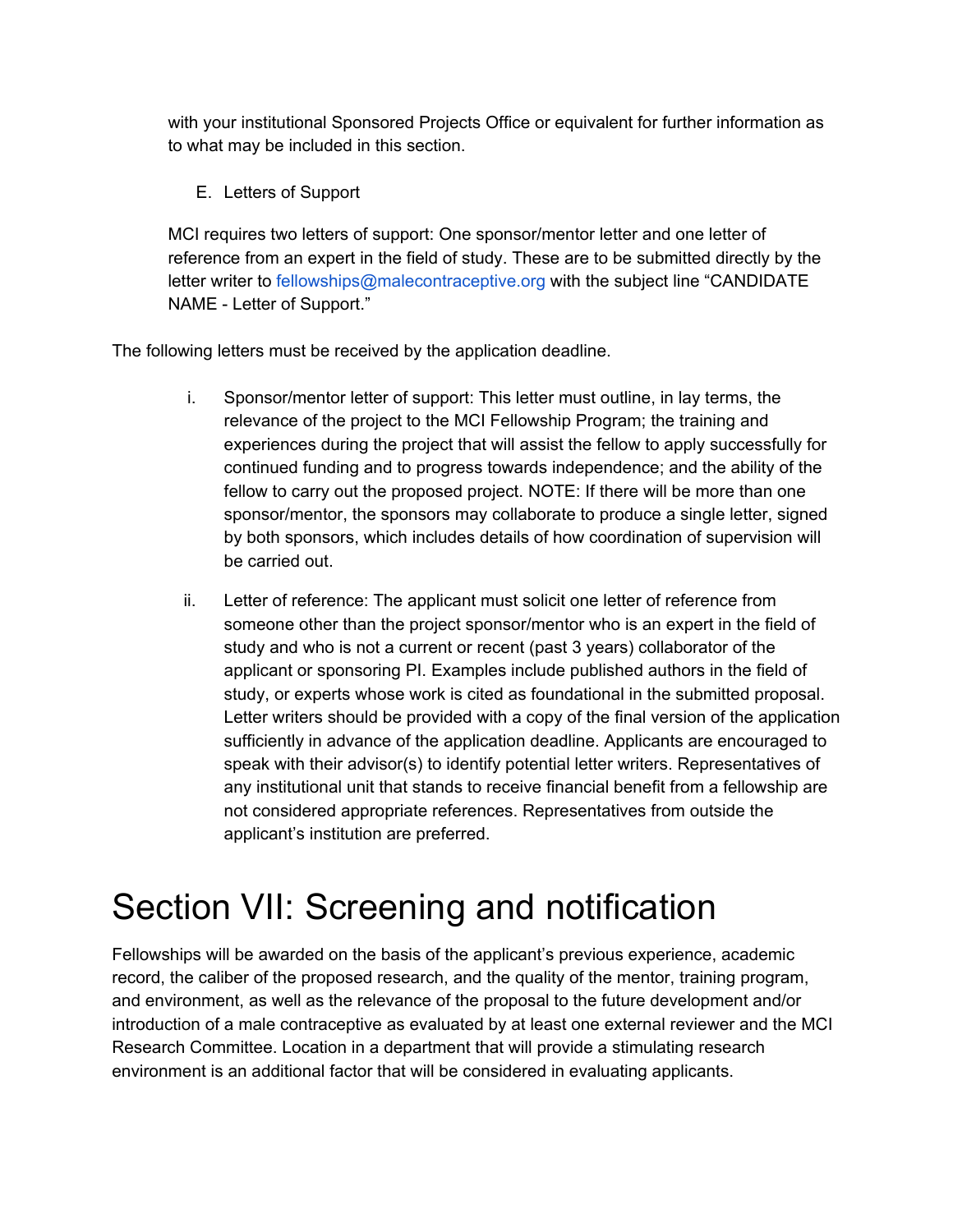with your institutional Sponsored Projects Office or equivalent for further information as to what may be included in this section.

E. Letters of Support

MCI requires two letters of support: One sponsor/mentor letter and one letter of reference from an expert in the field of study. These are to be submitted directly by the letter writer to fellowships@malecontraceptive.org with the subject line "CANDIDATE NAME - Letter of Support."

The following letters must be received by the application deadline.

- i. Sponsor/mentor letter of support: This letter must outline, in lay terms, the relevance of the project to the MCI Fellowship Program; the training and experiences during the project that will assist the fellow to apply successfully for continued funding and to progress towards independence; and the ability of the fellow to carry out the proposed project. NOTE: If there will be more than one sponsor/mentor, the sponsors may collaborate to produce a single letter, signed by both sponsors, which includes details of how coordination of supervision will be carried out.
- ii. Letter of reference: The applicant must solicit one letter of reference from someone other than the project sponsor/mentor who is an expert in the field of study and who is not a current or recent (past 3 years) collaborator of the applicant or sponsoring PI. Examples include published authors in the field of study, or experts whose work is cited as foundational in the submitted proposal. Letter writers should be provided with a copy of the final version of the application sufficiently in advance of the application deadline. Applicants are encouraged to speak with their advisor(s) to identify potential letter writers. Representatives of any institutional unit that stands to receive financial benefit from a fellowship are not considered appropriate references. Representatives from outside the applicant's institution are preferred.

### Section VII: Screening and notification

Fellowships will be awarded on the basis of the applicant's previous experience, academic record, the caliber of the proposed research, and the quality of the mentor, training program, and environment, as well as the relevance of the proposal to the future development and/or introduction of a male contraceptive as evaluated by at least one external reviewer and the MCI Research Committee. Location in a department that will provide a stimulating research environment is an additional factor that will be considered in evaluating applicants.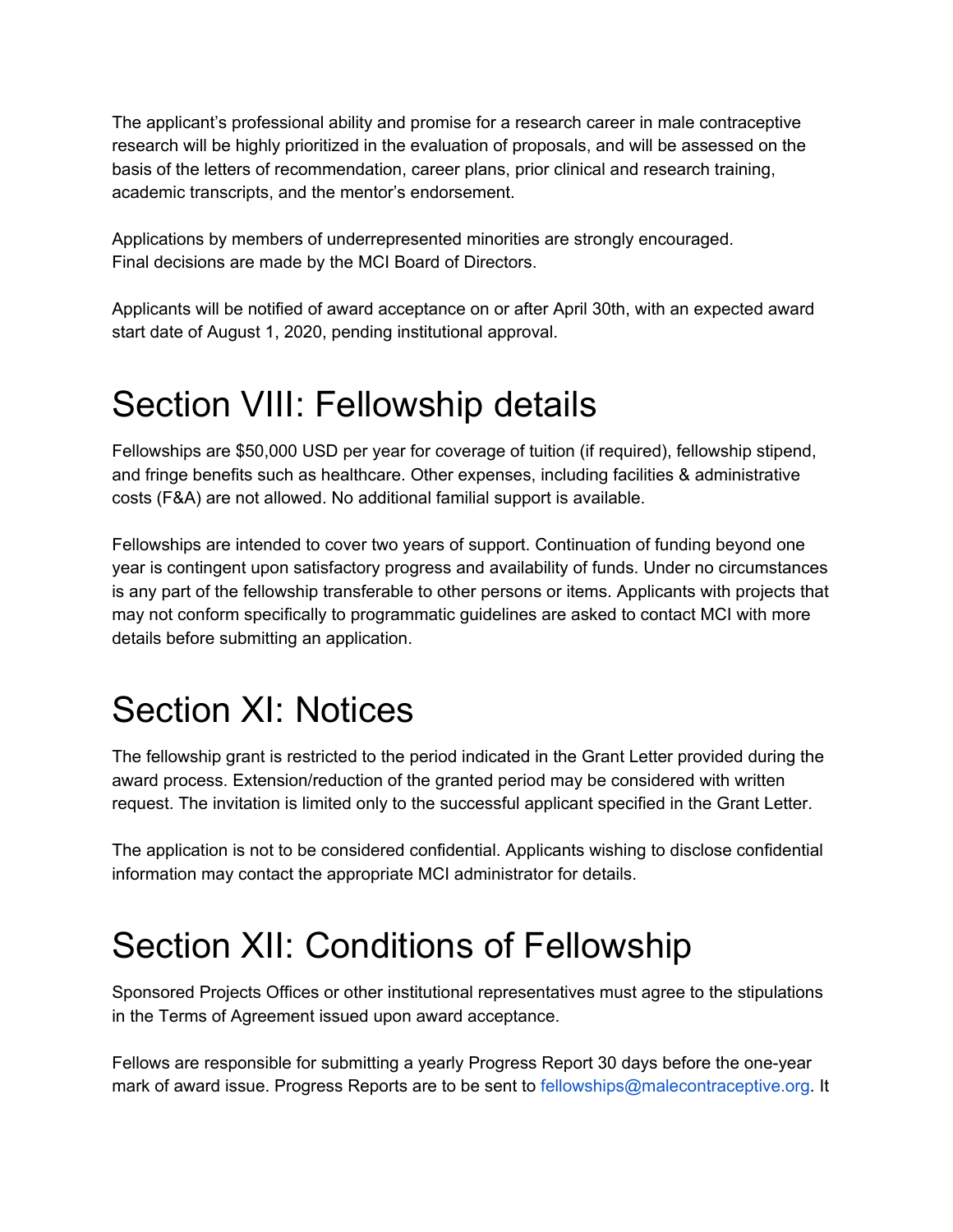The applicant's professional ability and promise for a research career in male contraceptive research will be highly prioritized in the evaluation of proposals, and will be assessed on the basis of the letters of recommendation, career plans, prior clinical and research training, academic transcripts, and the mentor's endorsement.

Applications by members of underrepresented minorities are strongly encouraged. Final decisions are made by the MCI Board of Directors.

Applicants will be notified of award acceptance on or after April 30th, with an expected award start date of August 1, 2020, pending institutional approval.

#### Section VIII: Fellowship details

Fellowships are \$50,000 USD per year for coverage of tuition (if required), fellowship stipend, and fringe benefits such as healthcare. Other expenses, including facilities & administrative costs (F&A) are not allowed. No additional familial support is available.

Fellowships are intended to cover two years of support. Continuation of funding beyond one year is contingent upon satisfactory progress and availability of funds. Under no circumstances is any part of the fellowship transferable to other persons or items. Applicants with projects that may not conform specifically to programmatic guidelines are asked to contact MCI with more details before submitting an application.

# Section XI: Notices

The fellowship grant is restricted to the period indicated in the Grant Letter provided during the award process. Extension/reduction of the granted period may be considered with written request. The invitation is limited only to the successful applicant specified in the Grant Letter.

The application is not to be considered confidential. Applicants wishing to disclose confidential information may contact the appropriate MCI administrator for details.

### Section XII: Conditions of Fellowship

Sponsored Projects Offices or other institutional representatives must agree to the stipulations in the Terms of Agreement issued upon award acceptance.

Fellows are responsible for submitting a yearly Progress Report 30 days before the one-year mark of award issue. Progress Reports are to be sent to fellowships@malecontraceptive.org. It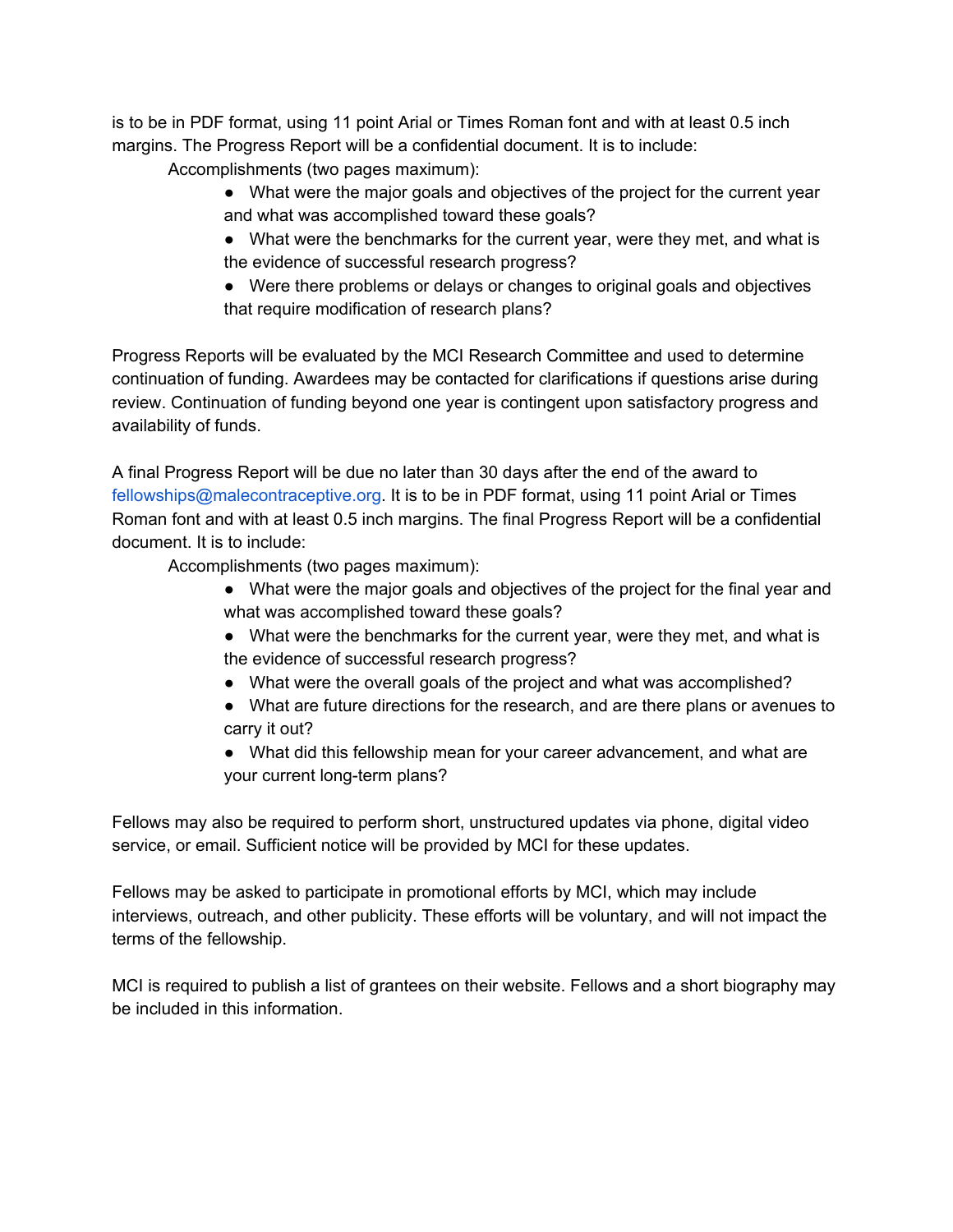is to be in PDF format, using 11 point Arial or Times Roman font and with at least 0.5 inch margins. The Progress Report will be a confidential document. It is to include:

Accomplishments (two pages maximum):

- What were the major goals and objectives of the project for the current year and what was accomplished toward these goals?
- What were the benchmarks for the current year, were they met, and what is the evidence of successful research progress?
- Were there problems or delays or changes to original goals and objectives that require modification of research plans?

Progress Reports will be evaluated by the MCI Research Committee and used to determine continuation of funding. Awardees may be contacted for clarifications if questions arise during review. Continuation of funding beyond one year is contingent upon satisfactory progress and availability of funds.

A final Progress Report will be due no later than 30 days after the end of the award to fellowships@malecontraceptive.org. It is to be in PDF format, using 11 point Arial or Times Roman font and with at least 0.5 inch margins. The final Progress Report will be a confidential document. It is to include:

Accomplishments (two pages maximum):

- What were the major goals and objectives of the project for the final year and what was accomplished toward these goals?
- What were the benchmarks for the current year, were they met, and what is the evidence of successful research progress?
- What were the overall goals of the project and what was accomplished?
- What are future directions for the research, and are there plans or avenues to carry it out?
- What did this fellowship mean for your career advancement, and what are your current long-term plans?

Fellows may also be required to perform short, unstructured updates via phone, digital video service, or email. Sufficient notice will be provided by MCI for these updates.

Fellows may be asked to participate in promotional efforts by MCI, which may include interviews, outreach, and other publicity. These efforts will be voluntary, and will not impact the terms of the fellowship.

MCI is required to publish a list of grantees on their website. Fellows and a short biography may be included in this information.